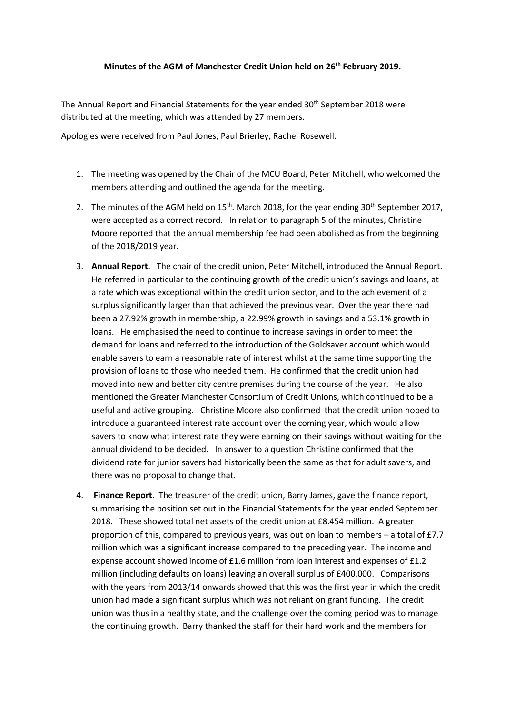## **Minutes of the AGM of Manchester Credit Union held on 26th February 2019.**

The Annual Report and Financial Statements for the year ended 30<sup>th</sup> September 2018 were distributed at the meeting, which was attended by 27 members.

Apologies were received from Paul Jones, Paul Brierley, Rachel Rosewell.

- 1. The meeting was opened by the Chair of the MCU Board, Peter Mitchell, who welcomed the members attending and outlined the agenda for the meeting.
- 2. The minutes of the AGM held on  $15<sup>th</sup>$ . March 2018, for the year ending 30<sup>th</sup> September 2017, were accepted as a correct record. In relation to paragraph 5 of the minutes, Christine Moore reported that the annual membership fee had been abolished as from the beginning of the 2018/2019 year.
- 3. **Annual Report.** The chair of the credit union, Peter Mitchell, introduced the Annual Report. He referred in particular to the continuing growth of the credit union's savings and loans, at a rate which was exceptional within the credit union sector, and to the achievement of a surplus significantly larger than that achieved the previous year. Over the year there had been a 27.92% growth in membership, a 22.99% growth in savings and a 53.1% growth in loans. He emphasised the need to continue to increase savings in order to meet the demand for loans and referred to the introduction of the Goldsaver account which would enable savers to earn a reasonable rate of interest whilst at the same time supporting the provision of loans to those who needed them. He confirmed that the credit union had moved into new and better city centre premises during the course of the year. He also mentioned the Greater Manchester Consortium of Credit Unions, which continued to be a useful and active grouping. Christine Moore also confirmed that the credit union hoped to introduce a guaranteed interest rate account over the coming year, which would allow savers to know what interest rate they were earning on their savings without waiting for the annual dividend to be decided. In answer to a question Christine confirmed that the dividend rate for junior savers had historically been the same as that for adult savers, and there was no proposal to change that.
- 4. **Finance Report**. The treasurer of the credit union, Barry James, gave the finance report, summarising the position set out in the Financial Statements for the year ended September 2018. These showed total net assets of the credit union at £8.454 million. A greater proportion of this, compared to previous years, was out on loan to members – a total of £7.7 million which was a significant increase compared to the preceding year. The income and expense account showed income of £1.6 million from loan interest and expenses of £1.2 million (including defaults on loans) leaving an overall surplus of £400,000. Comparisons with the years from 2013/14 onwards showed that this was the first year in which the credit union had made a significant surplus which was not reliant on grant funding. The credit union was thus in a healthy state, and the challenge over the coming period was to manage the continuing growth. Barry thanked the staff for their hard work and the members for